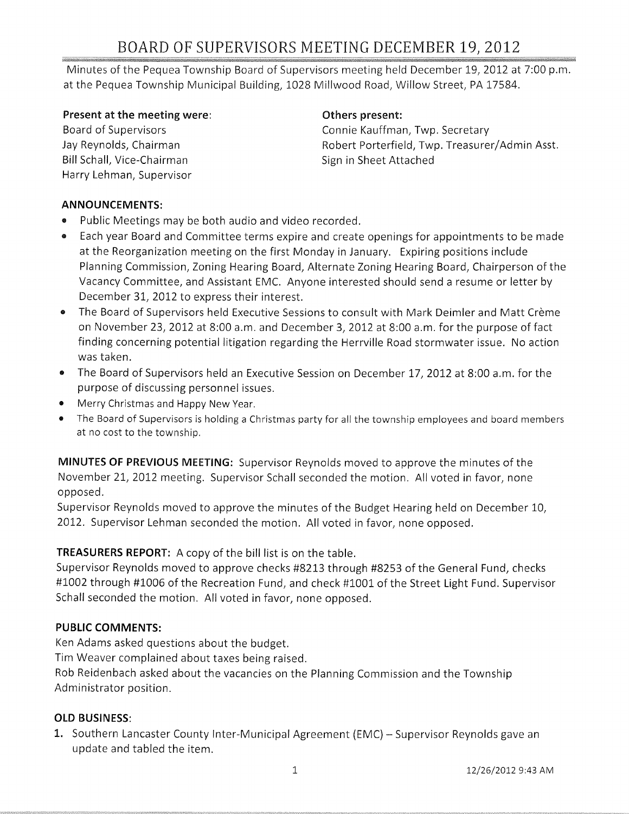# BOARD OF SUPERVISORS MEETING DECEMBER 19, 2012

Minutes of the Pequea Township Board of Supervisors meeting held December 19, 2012 at 7:00 p.m. at the Pequea Township Municipal Building, 1028 Millwood Road, Willow Street, PA 17584.

#### **Present at the meeting were:**

Board of Supervisors Jay Reynolds, Chairman Bill Schall, Vice-Chairman Harry Lehman, Supervisor

#### **Others present:**

Connie Kauffman, Twp. Secretary Robert Porterfield, Twp. Treasurer/Admin Asst. Sign in Sheet Attached

#### **ANNOUNCEMENTS:**

- Public Meetings may be both audio and video recorded.
- Each year Board and Committee terms expire and create openings for appointments to be made at the Reorganization meeting on the first Monday in January. Expiring positions include Planning Commission, Zoning Hearing Board, Alternate Zoning Hearing Board, Chairperson of the Vacancy Committee, and Assistant EMe. Anyone interested should send a resume or letter by December 31, 2012 to express their interest.
- The Board of Supervisors held Executive Sessions to consult with Mark Deimler and Matt Crème on November 23, 2012 at 8:00 a.m. and December 3, 2012 at 8:00 a.m. for the purpose of fact finding concerning potential litigation regarding the Herrville Road stormwater issue. No action was taken.
- The Board of Supervisors held an Executive Session on December 17, 2012 at 8:00 a.m. for the purpose of discussing personnel issues.
- Merry Christmas and Happy New Year.
- The Board of Supervisors is holding a Christmas party for all the township employees and board members at no cost to the township.

**MINUTES OF PREVIOUS MEETING:** Supervisor Reynolds moved to approve the minutes of the November 21, 2012 meeting. Supervisor Schall seconded the motion. All voted in favor, none opposed.

Supervisor Reynolds moved to approve the minutes of the Budget Hearing held on December 10, 2012. Supervisor Lehman seconded the motion. All voted in favor, none opposed.

## **TREASURERS REPORT:** A copy of the bill list is on the table.

Supervisor Reynolds moved to approve checks #8213 through #8253 of the General Fund, checks #1002 through #1006 of the Recreation Fund, and check #1001 of the Street Light Fund. Supervisor Schall seconded the motion. All voted in favor, none opposed.

## **PUBLIC COMMENTS:**

Ken Adams asked questions about the budget.

Tim Weaver complained about taxes being raised.

Rob Reidenbach asked about the vacancies on the Planning Commission and the Township Administrator position.

## **OLD BUSINESS:**

1. Southern Lancaster County Inter-Municipal Agreement (EMC) - Supervisor Reynolds gave an update and tabled the item.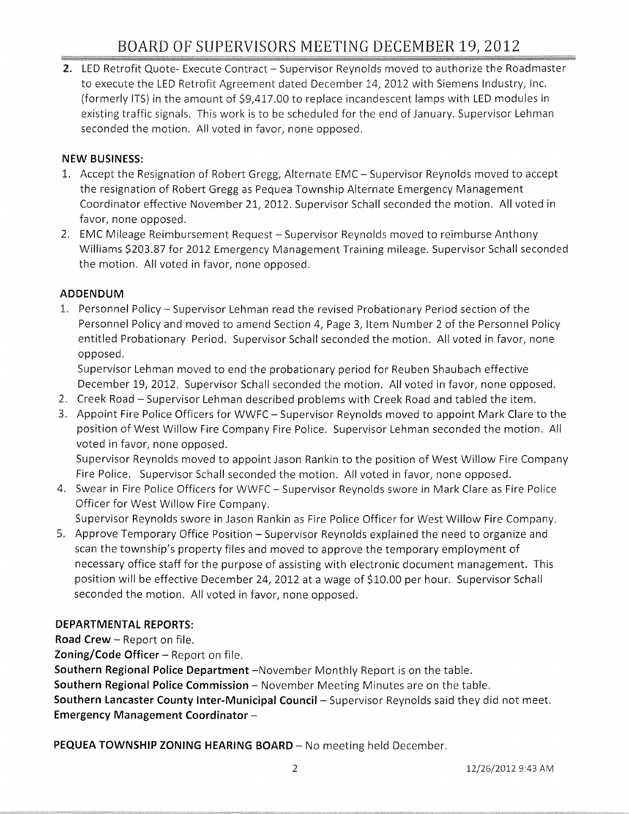2. LED Retrofit Quote- Execute Contract - Supervisor Reynolds moved to authorize the Roadmaster to execute the LED Retrofit Agreement dated December 14, 2012 with Siemens Industry, Inc. (formerly ITS) in the amount of \$9,417.00 to replace incandescent lamps with LED modules in existing traffic signals. This work is to be scheduled for the end of January. Supervisor Lehman seconded the motion. All voted in favor, none opposed.

## **NEW BUSINESS:**

- 1. Accept the Resignation of Robert Gregg, Alternate EMC Supervisor Reynolds moved to accept the resignation of Robert Gregg as Pequea Township Alternate Emergency Management Coordinator effective November 21, 2012. Supervisor Schall seconded the motion. All voted in favor, none opposed.
- 2. EMC Mileage Reimbursement Request Supervisor Reynolds moved to reimburse Anthony Williams \$203.87 for 2012 Emergency Management Training mileage. Supervisor Schall seconded the motion. All voted in favor, none opposed.

## **ADDENDUM**

1. Personnel Policy - Supervisor Lehman read the revised Probationary Period section of the Personnel Policy and moved to amend Section 4, Page 3, Item Number 2 of the Personnel Policy entitled Probationary Period. Supervisor Schall seconded the motion. All voted in favor, none opposed.

Supervisor Lehman moved to end the probationary period for Reuben Shaubach effective December 19, 2012. Supervisor Schall seconded the motion. All voted in favor, none opposed.

- 2. Creek Road Supervisor Lehman described problems with Creek Road and tabled the item.
- 3. Appoint Fire Police Officers for WWFC Supervisor Reynolds moved to appoint Mark Clare to the position of West Willow Fire Company Fire Police. Supervisor Lehman seconded the motion. All voted in favor, none opposed.

Supervisor Reynolds moved to appoint Jason Rankin to the position of West Willow Fire Company Fire Police. Supervisor Schall seconded the motion. All voted in favor, none opposed.

4. Swear in Fire Police Officers for WWFC - Supervisor Reynolds swore in Mark Clare as Fire Police Officer for West Willow Fire Company.

Supervisor Reynolds swore in Jason Rankin as Fire Police Officer for West Willow Fire Company.

5. Approve Temporary Office Position – Supervisor Reynolds explained the need to organize and scan the township's property files and moved to approve the temporary employment of necessary office staff for the purpose of assisting with electronic document management. This position will be effective December 24, 2012 at a wage of \$10.00 per hour. Supervisor Schall seconded the motion. All voted in favor, none opposed.

## **DEPARTMENTAL REPORTS:**

**Road Crew - Report on file.** 

Zoning/Code Officer - Report on file.

**Southern Regional Police Department** -November Monthly Report is on the table. **Southern Regional Police Commission** – November Meeting Minutes are on the table. **Southern Lancaster County Inter-Municipal Council-** Supervisor Reynolds said they did not meet. **Emergency Management Coordinator -**

**PEQUEA TOWNSHIP ZONING HEARING BOARD** - No meeting held December.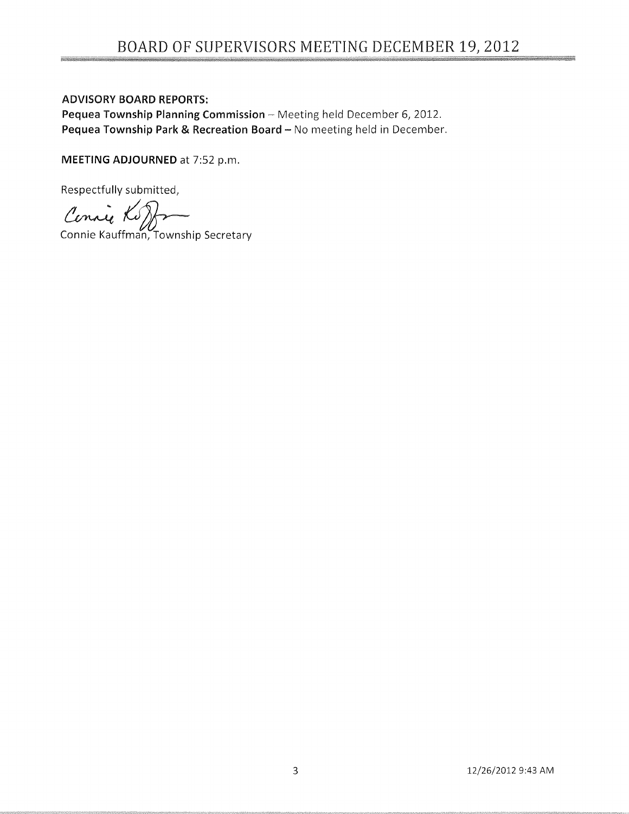# ADVISORY BOARD REPORTS:

Pequea Township Planning Commission - Meeting held December 6, 2012. Pequea Township Park & Recreation Board - No meeting held in December.

**MEETING** ADJOURNED at 7:52 p.m.

Respectfully submitted,

Respectfully submitted,<br>Connie Kauffman, Township Secretary